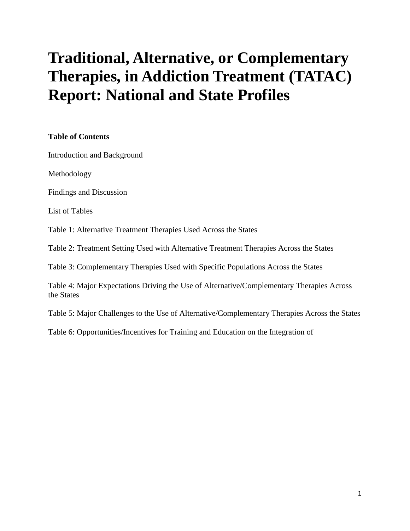# **Traditional, Alternative, or Complementary Therapies, in Addiction Treatment (TATAC) Report: National and State Profiles**

#### **Table of Contents**

[Introduction and Background](http://nasadad.org/tatac-introduction-and-background) 

[Methodology](http://nasadad.org/tatac-methodology)

[Findings and Discussion](http://nasadad.org/tatac-findings-and-discussion)

List of Tables

[Table 1: Alternative Treatment Therapies Used Across the States](http://nasadad.org/resources/TATAC/table1.htm) 

[Table 2: Treatment Setting Used with Alternative Treatment Therapies Across the States](http://nasadad.org/resources/TATAC/table2.htm) 

[Table 3: Complementary Therapies Used with Specific Populations Across the States](http://nasadad.org/resources/TATAC/table3.htm) 

[Table 4: Major Expectations Driving the Use of Alternative/Complementary Therapies Across](http://nasadad.org/resources/TATAC/table4.htm)  [the States](http://nasadad.org/resources/TATAC/table4.htm) 

[Table 5: Major Challenges to the Use of Alternative/Complementary Therapies Across the States](http://nasadad.org/resources/TATAC/table5.htm) 

[Table 6: Opportunities/Incentives for Training and Education on the Integration of](http://nasadad.org/resources/TATAC/table6.htm)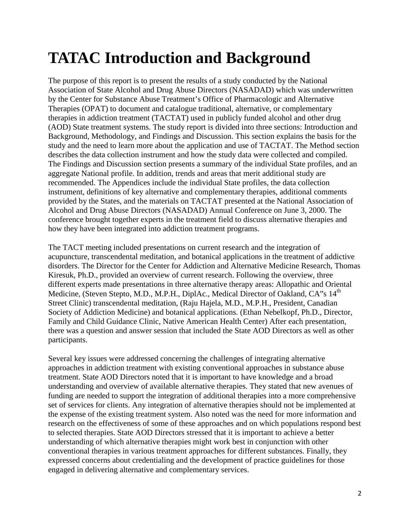# **TATAC Introduction and Background**

The purpose of this report is to present the results of a study conducted by the National Association of State Alcohol and Drug Abuse Directors (NASADAD) which was underwritten by the Center for Substance Abuse Treatment's Office of Pharmacologic and Alternative Therapies (OPAT) to document and catalogue traditional, alternative, or complementary therapies in addiction treatment (TACTAT) used in publicly funded alcohol and other drug (AOD) State treatment systems. The study report is divided into three sections: Introduction and Background, Methodology, and Findings and Discussion. This section explains the basis for the study and the need to learn more about the application and use of TACTAT. The Method section describes the data collection instrument and how the study data were collected and compiled. The Findings and Discussion section presents a summary of the individual State profiles, and an aggregate National profile. In addition, trends and areas that merit additional study are recommended. The Appendices include the individual State profiles, the data collection instrument, definitions of key alternative and complementary therapies, additional comments provided by the States, and the materials on TACTAT presented at the National Association of Alcohol and Drug Abuse Directors (NASADAD) Annual Conference on June 3, 2000. The conference brought together experts in the treatment field to discuss alternative therapies and how they have been integrated into addiction treatment programs.

The TACT meeting included presentations on current research and the integration of acupuncture, transcendental meditation, and botanical applications in the treatment of addictive disorders. The Director for the Center for Addiction and Alternative Medicine Research, Thomas Kiresuk, Ph.D., provided an overview of current research. Following the overview, three different experts made presentations in three alternative therapy areas: Allopathic and Oriental Medicine, (Steven Stepto, M.D., M.P.H., DiplAc., Medical Director of Oakland, CA"s 14<sup>th</sup> Street Clinic) transcendental meditation, (Raju Hajela, M.D., M.P.H., President, Canadian Society of Addiction Medicine) and botanical applications. (Ethan Nebelkopf, Ph.D., Director, Family and Child Guidance Clinic, Native American Health Center) After each presentation, there was a question and answer session that included the State AOD Directors as well as other participants.

Several key issues were addressed concerning the challenges of integrating alternative approaches in addiction treatment with existing conventional approaches in substance abuse treatment. State AOD Directors noted that it is important to have knowledge and a broad understanding and overview of available alternative therapies. They stated that new avenues of funding are needed to support the integration of additional therapies into a more comprehensive set of services for clients. Any integration of alternative therapies should not be implemented at the expense of the existing treatment system. Also noted was the need for more information and research on the effectiveness of some of these approaches and on which populations respond best to selected therapies. State AOD Directors stressed that it is important to achieve a better understanding of which alternative therapies might work best in conjunction with other conventional therapies in various treatment approaches for different substances. Finally, they expressed concerns about credentialing and the development of practice guidelines for those engaged in delivering alternative and complementary services.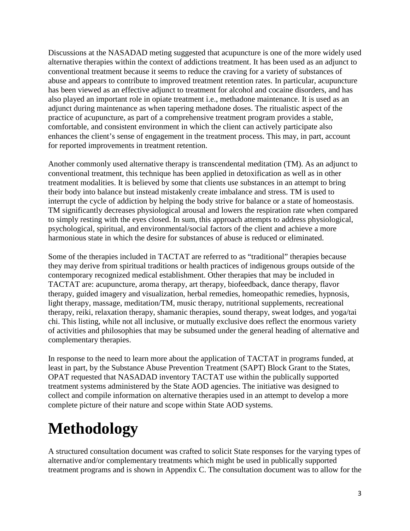Discussions at the NASADAD meting suggested that acupuncture is one of the more widely used alternative therapies within the context of addictions treatment. It has been used as an adjunct to conventional treatment because it seems to reduce the craving for a variety of substances of abuse and appears to contribute to improved treatment retention rates. In particular, acupuncture has been viewed as an effective adjunct to treatment for alcohol and cocaine disorders, and has also played an important role in opiate treatment i.e., methadone maintenance. It is used as an adjunct during maintenance as when tapering methadone doses. The ritualistic aspect of the practice of acupuncture, as part of a comprehensive treatment program provides a stable, comfortable, and consistent environment in which the client can actively participate also enhances the client's sense of engagement in the treatment process. This may, in part, account for reported improvements in treatment retention.

Another commonly used alternative therapy is transcendental meditation (TM). As an adjunct to conventional treatment, this technique has been applied in detoxification as well as in other treatment modalities. It is believed by some that clients use substances in an attempt to bring their body into balance but instead mistakenly create imbalance and stress. TM is used to interrupt the cycle of addiction by helping the body strive for balance or a state of homeostasis. TM significantly decreases physiological arousal and lowers the respiration rate when compared to simply resting with the eyes closed. In sum, this approach attempts to address physiological, psychological, spiritual, and environmental/social factors of the client and achieve a more harmonious state in which the desire for substances of abuse is reduced or eliminated.

Some of the therapies included in TACTAT are referred to as "traditional" therapies because they may derive from spiritual traditions or health practices of indigenous groups outside of the contemporary recognized medical establishment. Other therapies that may be included in TACTAT are: acupuncture, aroma therapy, art therapy, biofeedback, dance therapy, flavor therapy, guided imagery and visualization, herbal remedies, homeopathic remedies, hypnosis, light therapy, massage, meditation/TM, music therapy, nutritional supplements, recreational therapy, reiki, relaxation therapy, shamanic therapies, sound therapy, sweat lodges, and yoga/tai chi. This listing, while not all inclusive, or mutually exclusive does reflect the enormous variety of activities and philosophies that may be subsumed under the general heading of alternative and complementary therapies.

In response to the need to learn more about the application of TACTAT in programs funded, at least in part, by the Substance Abuse Prevention Treatment (SAPT) Block Grant to the States, OPAT requested that NASADAD inventory TACTAT use within the publically supported treatment systems administered by the State AOD agencies. The initiative was designed to collect and compile information on alternative therapies used in an attempt to develop a more complete picture of their nature and scope within State AOD systems.

# **Methodology**

A structured consultation document was crafted to solicit State responses for the varying types of alternative and/or complementary treatments which might be used in publically supported treatment programs and is shown in Appendix C. The consultation document was to allow for the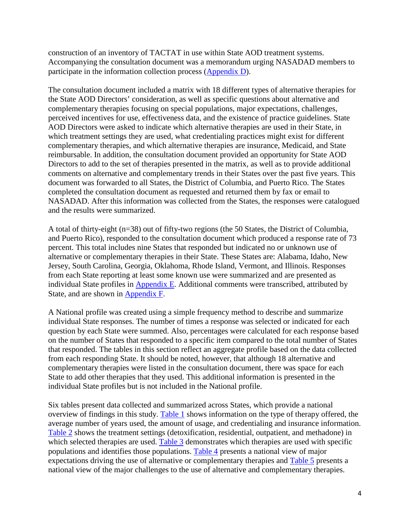construction of an inventory of TACTAT in use within State AOD treatment systems. Accompanying the consultation document was a memorandum urging NASADAD members to participate in the information collection process [\(Appendix D\)](http://nasadad.org/tatac-appendix-d-memorandum-to-state-directors).

The consultation document included a matrix with 18 different types of alternative therapies for the State AOD Directors' consideration, as well as specific questions about alternative and complementary therapies focusing on special populations, major expectations, challenges, perceived incentives for use, effectiveness data, and the existence of practice guidelines. State AOD Directors were asked to indicate which alternative therapies are used in their State, in which treatment settings they are used, what credentialing practices might exist for different complementary therapies, and which alternative therapies are insurance, Medicaid, and State reimbursable. In addition, the consultation document provided an opportunity for State AOD Directors to add to the set of therapies presented in the matrix, as well as to provide additional comments on alternative and complementary trends in their States over the past five years. This document was forwarded to all States, the District of Columbia, and Puerto Rico. The States completed the consultation document as requested and returned them by fax or email to NASADAD. After this information was collected from the States, the responses were catalogued and the results were summarized.

A total of thirty-eight (n=38) out of fifty-two regions (the 50 States, the District of Columbia, and Puerto Rico), responded to the consultation document which produced a response rate of 73 percent. This total includes nine States that responded but indicated no or unknown use of alternative or complementary therapies in their State. These States are: Alabama, Idaho, New Jersey, South Carolina, Georgia, Oklahoma, Rhode Island, Vermont, and Illinois. Responses from each State reporting at least some known use were summarized and are presented as individual State profiles in **Appendix E.** Additional comments were transcribed, attributed by State, and are shown in [Appendix F.](http://nasadad.org/tatac-appendix-f-additional-comments-by-states)

A National profile was created using a simple frequency method to describe and summarize individual State responses. The number of times a response was selected or indicated for each question by each State were summed. Also, percentages were calculated for each response based on the number of States that responded to a specific item compared to the total number of States that responded. The tables in this section reflect an aggregate profile based on the data collected from each responding State. It should be noted, however, that although 18 alternative and complementary therapies were listed in the consultation document, there was space for each State to add other therapies that they used. This additional information is presented in the individual State profiles but is not included in the National profile.

Six tables present data collected and summarized across States, which provide a national overview of findings in this study. [Table 1](http://nasadad.org/resources/TATAC/table1.htm) shows information on the type of therapy offered, the average number of years used, the amount of usage, and credentialing and insurance information. [Table 2](http://nasadad.org/resources/TATAC/table2.htm) shows the treatment settings (detoxification, residential, outpatient, and methadone) in which selected therapies are used. [Table 3](http://nasadad.org/resources/TATAC/table3.htm) demonstrates which therapies are used with specific populations and identifies those populations. [Table 4](http://nasadad.org/resources/TATAC/table4.htm) presents a national view of major expectations driving the use of alternative or complementary therapies and [Table 5](http://nasadad.org/resources/TATAC/table5.htm) presents a national view of the major challenges to the use of alternative and complementary therapies.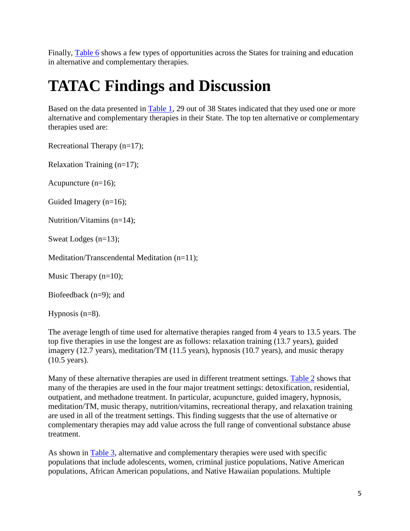Finally, [Table 6](http://nasadad.org/resources/TATAC/table6.htm) shows a few types of opportunities across the States for training and education in alternative and complementary therapies.

# **TATAC Findings and Discussion**

Based on the data presented in [Table 1,](http://nasadad.org/resources/TATAC/table1.htm) 29 out of 38 States indicated that they used one or more alternative and complementary therapies in their State. The top ten alternative or complementary therapies used are:

Recreational Therapy (n=17);

Relaxation Training (n=17);

Acupuncture (n=16);

Guided Imagery (n=16);

Nutrition/Vitamins (n=14);

Sweat Lodges (n=13);

Meditation/Transcendental Meditation (n=11);

Music Therapy (n=10);

Biofeedback (n=9); and

Hypnosis (n=8).

The average length of time used for alternative therapies ranged from 4 years to 13.5 years. The top five therapies in use the longest are as follows: relaxation training (13.7 years), guided imagery (12.7 years), meditation/TM (11.5 years), hypnosis (10.7 years), and music therapy (10.5 years).

Many of these alternative therapies are used in different treatment settings. [Table 2](http://nasadad.org/resources/TATAC/table2.htm) shows that many of the therapies are used in the four major treatment settings: detoxification, residential, outpatient, and methadone treatment. In particular, acupuncture, guided imagery, hypnosis, meditation/TM, music therapy, nutrition/vitamins, recreational therapy, and relaxation training are used in all of the treatment settings. This finding suggests that the use of alternative or complementary therapies may add value across the full range of conventional substance abuse treatment.

As shown in [Table 3,](http://nasadad.org/resources/TATAC/table3.htm) alternative and complementary therapies were used with specific populations that include adolescents, women, criminal justice populations, Native American populations, African American populations, and Native Hawaiian populations. Multiple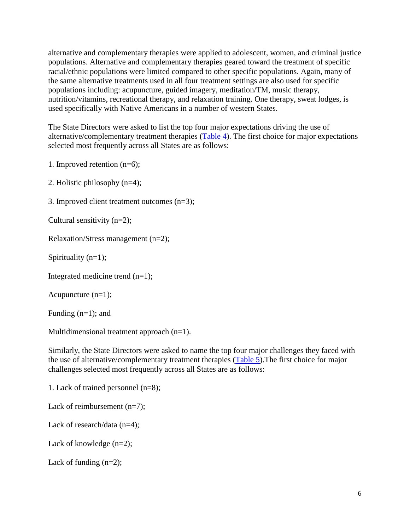alternative and complementary therapies were applied to adolescent, women, and criminal justice populations. Alternative and complementary therapies geared toward the treatment of specific racial/ethnic populations were limited compared to other specific populations. Again, many of the same alternative treatments used in all four treatment settings are also used for specific populations including: acupuncture, guided imagery, meditation/TM, music therapy, nutrition/vitamins, recreational therapy, and relaxation training. One therapy, sweat lodges, is used specifically with Native Americans in a number of western States.

The State Directors were asked to list the top four major expectations driving the use of alternative/complementary treatment therapies [\(Table 4\)](http://nasadad.org/resources/TATAC/table4.htm). The first choice for major expectations selected most frequently across all States are as follows:

1. Improved retention (n=6);

2. Holistic philosophy (n=4);

3. Improved client treatment outcomes (n=3);

Cultural sensitivity (n=2);

Relaxation/Stress management (n=2);

Spirituality  $(n=1)$ ;

Integrated medicine trend (n=1);

Acupuncture (n=1);

Funding  $(n=1)$ ; and

Multidimensional treatment approach (n=1).

Similarly, the State Directors were asked to name the top four major challenges they faced with the use of alternative/complementary treatment therapies [\(Table 5\)](http://nasadad.org/resources/TATAC/table5.htm).The first choice for major challenges selected most frequently across all States are as follows:

1. Lack of trained personnel (n=8);

Lack of reimbursement (n=7);

Lack of research/data  $(n=4)$ :

Lack of knowledge (n=2);

Lack of funding  $(n=2)$ ;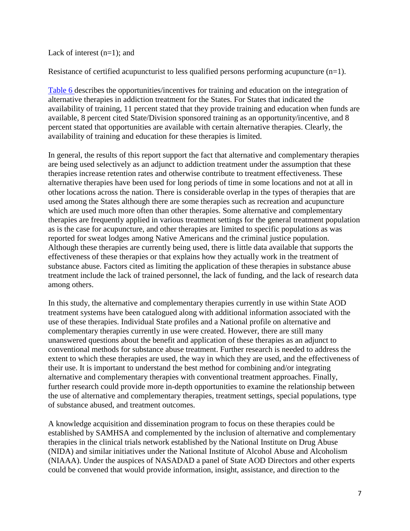Lack of interest  $(n=1)$ ; and

Resistance of certified acupuncturist to less qualified persons performing acupuncture (n=1).

[Table 6 d](http://nasadad.org/resources/TATAC/table6.htm)escribes the opportunities/incentives for training and education on the integration of alternative therapies in addiction treatment for the States. For States that indicated the availability of training, 11 percent stated that they provide training and education when funds are available, 8 percent cited State/Division sponsored training as an opportunity/incentive, and 8 percent stated that opportunities are available with certain alternative therapies. Clearly, the availability of training and education for these therapies is limited.

In general, the results of this report support the fact that alternative and complementary therapies are being used selectively as an adjunct to addiction treatment under the assumption that these therapies increase retention rates and otherwise contribute to treatment effectiveness. These alternative therapies have been used for long periods of time in some locations and not at all in other locations across the nation. There is considerable overlap in the types of therapies that are used among the States although there are some therapies such as recreation and acupuncture which are used much more often than other therapies. Some alternative and complementary therapies are frequently applied in various treatment settings for the general treatment population as is the case for acupuncture, and other therapies are limited to specific populations as was reported for sweat lodges among Native Americans and the criminal justice population. Although these therapies are currently being used, there is little data available that supports the effectiveness of these therapies or that explains how they actually work in the treatment of substance abuse. Factors cited as limiting the application of these therapies in substance abuse treatment include the lack of trained personnel, the lack of funding, and the lack of research data among others.

In this study, the alternative and complementary therapies currently in use within State AOD treatment systems have been catalogued along with additional information associated with the use of these therapies. Individual State profiles and a National profile on alternative and complementary therapies currently in use were created. However, there are still many unanswered questions about the benefit and application of these therapies as an adjunct to conventional methods for substance abuse treatment. Further research is needed to address the extent to which these therapies are used, the way in which they are used, and the effectiveness of their use. It is important to understand the best method for combining and/or integrating alternative and complementary therapies with conventional treatment approaches. Finally, further research could provide more in-depth opportunities to examine the relationship between the use of alternative and complementary therapies, treatment settings, special populations, type of substance abused, and treatment outcomes.

A knowledge acquisition and dissemination program to focus on these therapies could be established by SAMHSA and complemented by the inclusion of alternative and complementary therapies in the clinical trials network established by the National Institute on Drug Abuse (NIDA) and similar initiatives under the National Institute of Alcohol Abuse and Alcoholism (NIAAA). Under the auspices of NASADAD a panel of State AOD Directors and other experts could be convened that would provide information, insight, assistance, and direction to the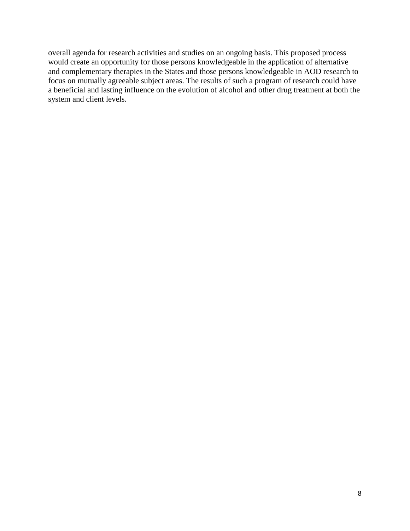overall agenda for research activities and studies on an ongoing basis. This proposed process would create an opportunity for those persons knowledgeable in the application of alternative and complementary therapies in the States and those persons knowledgeable in AOD research to focus on mutually agreeable subject areas. The results of such a program of research could have a beneficial and lasting influence on the evolution of alcohol and other drug treatment at both the system and client levels.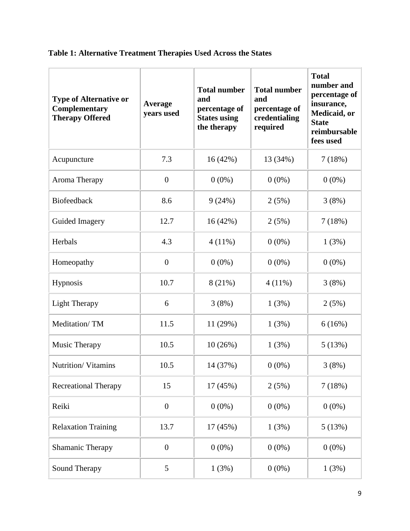| <b>Type of Alternative or</b><br>Complementary<br><b>Therapy Offered</b> | Average<br>years used | <b>Total number</b><br>and<br>percentage of<br><b>States using</b><br>the therapy | <b>Total number</b><br>and<br>percentage of<br>credentialing<br>required | <b>Total</b><br>number and<br>percentage of<br>insurance,<br>Medicaid, or<br><b>State</b><br>reimbursable<br>fees used |
|--------------------------------------------------------------------------|-----------------------|-----------------------------------------------------------------------------------|--------------------------------------------------------------------------|------------------------------------------------------------------------------------------------------------------------|
| Acupuncture                                                              | 7.3                   | 16(42%)                                                                           | 13 (34%)                                                                 | 7(18%)                                                                                                                 |
| Aroma Therapy                                                            | $\boldsymbol{0}$      | $0(0\%)$                                                                          | $0(0\%)$                                                                 | $0(0\%)$                                                                                                               |
| Biofeedback                                                              | 8.6                   | 9(24%)                                                                            | 2(5%)                                                                    | 3(8%)                                                                                                                  |
| Guided Imagery                                                           | 12.7                  | 16(42%)                                                                           | 2(5%)                                                                    | 7(18%)                                                                                                                 |
| Herbals                                                                  | 4.3                   | $4(11\%)$                                                                         | $0(0\%)$                                                                 | 1(3%)                                                                                                                  |
| Homeopathy                                                               | $\boldsymbol{0}$      | $0(0\%)$                                                                          | $0(0\%)$                                                                 | $0(0\%)$                                                                                                               |
| Hypnosis                                                                 | 10.7                  | 8(21%)                                                                            | $4(11\%)$                                                                | 3(8%)                                                                                                                  |
| <b>Light Therapy</b>                                                     | 6                     | 3(8%)                                                                             | 1(3%)                                                                    | 2(5%)                                                                                                                  |
| Meditation/TM                                                            | 11.5                  | 11 (29%)                                                                          | 1(3%)                                                                    | 6(16%)                                                                                                                 |
| Music Therapy                                                            | 10.5                  | 10(26%)                                                                           | 1(3%)                                                                    | 5(13%)                                                                                                                 |
| Nutrition/Vitamins                                                       | 10.5                  | 14 (37%)                                                                          | $0(0\%)$                                                                 | 3(8%)                                                                                                                  |
| <b>Recreational Therapy</b>                                              | 15                    | 17 (45%)                                                                          | 2(5%)                                                                    | 7(18%)                                                                                                                 |
| Reiki                                                                    | $\boldsymbol{0}$      | $0(0\%)$                                                                          | $0(0\%)$                                                                 | $0(0\%)$                                                                                                               |
| <b>Relaxation Training</b>                                               | 13.7                  | 17 (45%)                                                                          | 1(3%)                                                                    | 5(13%)                                                                                                                 |
| Shamanic Therapy                                                         | $\boldsymbol{0}$      | $0(0\%)$                                                                          | $0(0\%)$                                                                 | $0(0\%)$                                                                                                               |
| Sound Therapy                                                            | 5                     | 1(3%)                                                                             | $0(0\%)$                                                                 | 1(3%)                                                                                                                  |

## **Table 1: Alternative Treatment Therapies Used Across the States**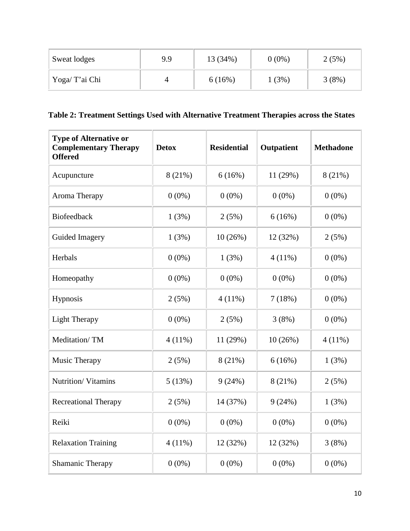| Sweat lodges  | 9.9 | 13 (34%) | $0(0\%)$ | 2(5%) |
|---------------|-----|----------|----------|-------|
| Yoga/T'ai Chi | 4   | 6(16%)   | (3%)     | 3(8%) |

### **Table 2: Treatment Settings Used with Alternative Treatment Therapies across the States**

| <b>Type of Alternative or</b><br><b>Complementary Therapy</b><br><b>Offered</b> | <b>Detox</b> | <b>Residential</b> | <b>Outpatient</b> | <b>Methadone</b> |
|---------------------------------------------------------------------------------|--------------|--------------------|-------------------|------------------|
| Acupuncture                                                                     | 8(21%)       | 6(16%)             | 11 (29%)          | 8(21%)           |
| Aroma Therapy                                                                   | $0(0\%)$     | $0(0\%)$           | $0(0\%)$          | $0(0\%)$         |
| Biofeedback                                                                     | 1(3%)        | 2(5%)              | 6(16%)            | $0(0\%)$         |
| Guided Imagery                                                                  | 1(3%)        | 10(26%)            | 12 (32%)          | 2(5%)            |
| Herbals                                                                         | $0(0\%)$     | 1(3%)              | $4(11\%)$         | $0(0\%)$         |
| Homeopathy                                                                      | $0(0\%)$     | $0(0\%)$           | $0(0\%)$          | $0(0\%)$         |
| Hypnosis                                                                        | 2(5%)        | $4(11\%)$          | 7(18%)            | $0(0\%)$         |
| <b>Light Therapy</b>                                                            | $0(0\%)$     | 2(5%)              | 3(8%)             | $0(0\%)$         |
| Meditation/TM                                                                   | $4(11\%)$    | 11 (29%)           | 10(26%)           | $4(11\%)$        |
| Music Therapy                                                                   | 2(5%)        | 8(21%)             | 6(16%)            | 1(3%)            |
| Nutrition/Vitamins                                                              | 5(13%)       | 9(24%)             | 8(21%)            | 2(5%)            |
| <b>Recreational Therapy</b>                                                     | 2(5%)        | 14 (37%)           | 9(24%)            | 1(3%)            |
| Reiki                                                                           | $0(0\%)$     | $0(0\%)$           | $0(0\%)$          | $0(0\%)$         |
| <b>Relaxation Training</b>                                                      | $4(11\%)$    | 12 (32%)           | 12 (32%)          | 3(8%)            |
| Shamanic Therapy                                                                | $0(0\%)$     | $0(0\%)$           | $0(0\%)$          | $0(0\%)$         |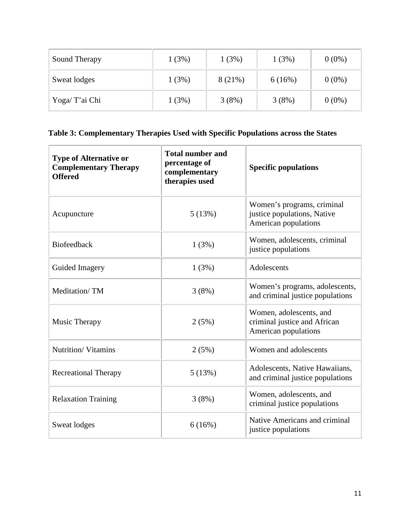| Sound Therapy  | 1(3%) | 1(3%)  | 1(3%)  | $0(0\%)$ |
|----------------|-------|--------|--------|----------|
| Sweat lodges   | 1(3%) | 8(21%) | 6(16%) | $0(0\%)$ |
| Yoga/ T'ai Chi | 1(3%) | 3(8%)  | 3(8%)  | $0(0\%)$ |

## **Table 3: Complementary Therapies Used with Specific Populations across the States**

| <b>Type of Alternative or</b><br><b>Complementary Therapy</b><br><b>Offered</b> | <b>Total number and</b><br>percentage of<br>complementary<br>therapies used | <b>Specific populations</b>                                                       |
|---------------------------------------------------------------------------------|-----------------------------------------------------------------------------|-----------------------------------------------------------------------------------|
| Acupuncture                                                                     | 5(13%)                                                                      | Women's programs, criminal<br>justice populations, Native<br>American populations |
| Biofeedback                                                                     | 1(3%)                                                                       | Women, adolescents, criminal<br>justice populations                               |
| Guided Imagery                                                                  | 1(3%)                                                                       | Adolescents                                                                       |
| Meditation/TM                                                                   | 3(8%)                                                                       | Women's programs, adolescents,<br>and criminal justice populations                |
| Music Therapy                                                                   | 2(5%)                                                                       | Women, adolescents, and<br>criminal justice and African<br>American populations   |
| Nutrition/Vitamins                                                              | 2(5%)                                                                       | Women and adolescents                                                             |
| <b>Recreational Therapy</b>                                                     | 5(13%)                                                                      | Adolescents, Native Hawaiians,<br>and criminal justice populations                |
| <b>Relaxation Training</b>                                                      | 3(8%)                                                                       | Women, adolescents, and<br>criminal justice populations                           |
| Sweat lodges                                                                    | 6(16%)                                                                      | Native Americans and criminal<br>justice populations                              |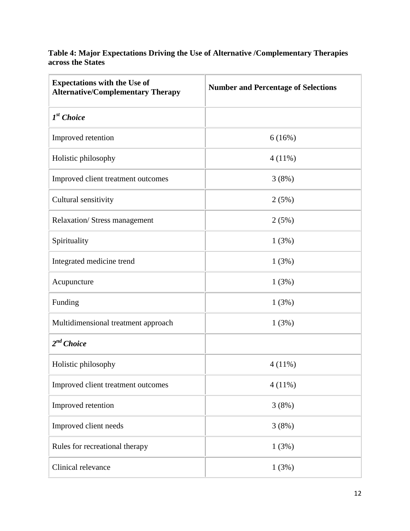#### **Table 4: Major Expectations Driving the Use of Alternative /Complementary Therapies across the States**

| <b>Expectations with the Use of</b><br><b>Alternative/Complementary Therapy</b> | <b>Number and Percentage of Selections</b> |
|---------------------------------------------------------------------------------|--------------------------------------------|
| I <sup>st</sup> Choice                                                          |                                            |
| Improved retention                                                              | 6(16%)                                     |
| Holistic philosophy                                                             | $4(11\%)$                                  |
| Improved client treatment outcomes                                              | 3(8%)                                      |
| Cultural sensitivity                                                            | 2(5%)                                      |
| Relaxation/Stress management                                                    | 2(5%)                                      |
| Spirituality                                                                    | 1(3%)                                      |
| Integrated medicine trend                                                       | 1(3%)                                      |
| Acupuncture                                                                     | 1(3%)                                      |
| Funding                                                                         | 1(3%)                                      |
| Multidimensional treatment approach                                             | 1(3%)                                      |
| 2 <sup>nd</sup> Choice                                                          |                                            |
| Holistic philosophy                                                             | $4(11\%)$                                  |
| Improved client treatment outcomes                                              | $4(11\%)$                                  |
| Improved retention                                                              | 3(8%)                                      |
| Improved client needs                                                           | 3(8%)                                      |
| Rules for recreational therapy                                                  | 1(3%)                                      |
| Clinical relevance                                                              | 1(3%)                                      |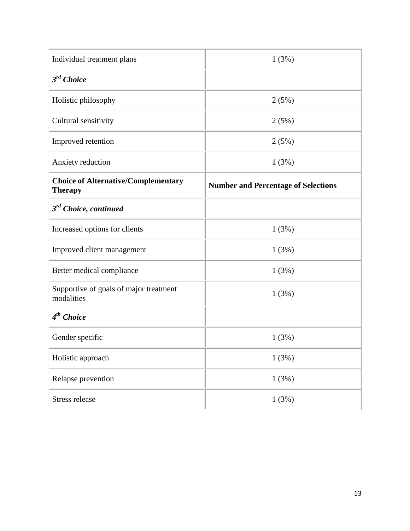| Individual treatment plans                                   | 1(3%)                                      |
|--------------------------------------------------------------|--------------------------------------------|
| 3 <sup>rd</sup> Choice                                       |                                            |
| Holistic philosophy                                          | 2(5%)                                      |
| Cultural sensitivity                                         | 2(5%)                                      |
| Improved retention                                           | 2(5%)                                      |
| Anxiety reduction                                            | 1(3%)                                      |
| <b>Choice of Alternative/Complementary</b><br><b>Therapy</b> | <b>Number and Percentage of Selections</b> |
| $3rd$ Choice, continued                                      |                                            |
| Increased options for clients                                | 1(3%)                                      |
| Improved client management                                   | 1(3%)                                      |
| Better medical compliance                                    | 1(3%)                                      |
| Supportive of goals of major treatment<br>modalities         | 1(3%)                                      |
| 4 <sup>th</sup> Choice                                       |                                            |
| Gender specific                                              | 1(3%)                                      |
| Holistic approach                                            | 1(3%)                                      |
| Relapse prevention                                           | 1(3%)                                      |
| Stress release                                               | 1(3%)                                      |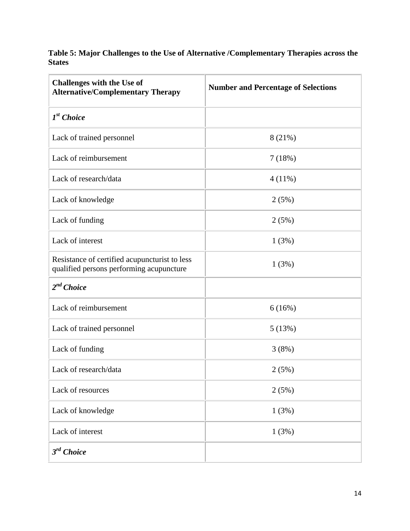**Table 5: Major Challenges to the Use of Alternative /Complementary Therapies across the States**

| <b>Challenges with the Use of</b><br><b>Alternative/Complementary Therapy</b>             | <b>Number and Percentage of Selections</b> |
|-------------------------------------------------------------------------------------------|--------------------------------------------|
| I <sup>st</sup> Choice                                                                    |                                            |
| Lack of trained personnel                                                                 | 8(21%)                                     |
| Lack of reimbursement                                                                     | 7(18%)                                     |
| Lack of research/data                                                                     | $4(11\%)$                                  |
| Lack of knowledge                                                                         | 2(5%)                                      |
| Lack of funding                                                                           | 2(5%)                                      |
| Lack of interest                                                                          | 1(3%)                                      |
| Resistance of certified acupuncturist to less<br>qualified persons performing acupuncture | 1(3%)                                      |
| 2 <sup>nd</sup> Choice                                                                    |                                            |
| Lack of reimbursement                                                                     | 6(16%)                                     |
| Lack of trained personnel                                                                 | 5(13%)                                     |
| Lack of funding                                                                           | 3(8%)                                      |
| Lack of research/data                                                                     | 2(5%)                                      |
| Lack of resources                                                                         | 2(5%)                                      |
| Lack of knowledge                                                                         | 1(3%)                                      |
| Lack of interest                                                                          | 1(3%)                                      |
| 3 <sup>rd</sup> Choice                                                                    |                                            |